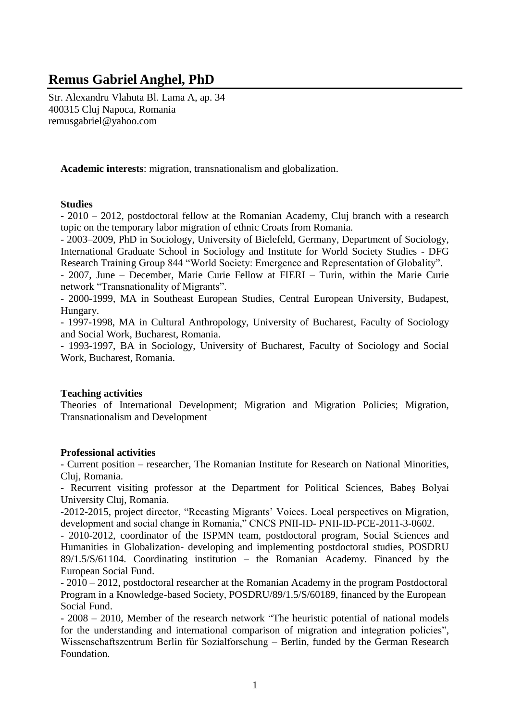# **Remus Gabriel Anghel, PhD**

Str. Alexandru Vlahuta Bl. Lama A, ap. 34 400315 Cluj Napoca, Romania remusgabriel@yahoo.com

**Academic interests**: migration, transnationalism and globalization.

# **Studies**

- 2010 – 2012, postdoctoral fellow at the Romanian Academy, Cluj branch with a research topic on the temporary labor migration of ethnic Croats from Romania.

- 2003–2009, PhD in Sociology, University of Bielefeld, Germany, Department of Sociology, International Graduate School in Sociology and Institute for World Society Studies - DFG Research Training Group 844 "World Society: Emergence and Representation of Globality".

- 2007, June – December, Marie Curie Fellow at FIERI – Turin, within the Marie Curie network "Transnationality of Migrants".

- 2000-1999, MA in Southeast European Studies, Central European University, Budapest, Hungary.

- 1997-1998, MA in Cultural Anthropology, University of Bucharest, Faculty of Sociology and Social Work, Bucharest, Romania.

- 1993-1997, BA in Sociology, University of Bucharest, Faculty of Sociology and Social Work, Bucharest, Romania.

# **Teaching activities**

Theories of International Development; Migration and Migration Policies; Migration, Transnationalism and Development

# **Professional activities**

- Current position – researcher, The Romanian Institute for Research on National Minorities, Cluj, Romania.

- Recurrent visiting professor at the Department for Political Sciences, Babeş Bolyai University Cluj, Romania.

-2012-2015, project director, "Recasting Migrants' Voices. Local perspectives on Migration, development and social change in Romania," CNCS PNII-ID- PNII-ID-PCE-2011-3-0602.

- 2010-2012, coordinator of the ISPMN team, postdoctoral program, Social Sciences and Humanities in Globalization- developing and implementing postdoctoral studies, POSDRU 89/1.5/S/61104. Coordinating institution – the Romanian Academy. Financed by the European Social Fund.

- 2010 – 2012, postdoctoral researcher at the Romanian Academy in the program Postdoctoral Program in a Knowledge-based Society, POSDRU/89/1.5/S/60189, financed by the European Social Fund.

- 2008 – 2010, Member of the research network "The heuristic potential of national models for the understanding and international comparison of migration and integration policies", Wissenschaftszentrum Berlin für Sozialforschung – Berlin, funded by the German Research Foundation.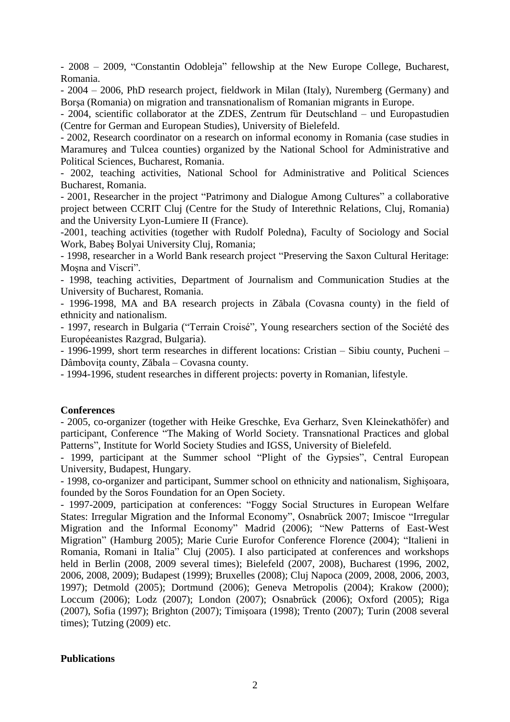- 2008 – 2009, "Constantin Odobleja" fellowship at the New Europe College, Bucharest, Romania.

- 2004 – 2006, PhD research project, fieldwork in Milan (Italy), Nuremberg (Germany) and Borşa (Romania) on migration and transnationalism of Romanian migrants in Europe.

- 2004, scientific collaborator at the ZDES, Zentrum für Deutschland – und Europastudien (Centre for German and European Studies), University of Bielefeld.

- 2002, Research coordinator on a research on informal economy in Romania (case studies in Maramureş and Tulcea counties) organized by the National School for Administrative and Political Sciences, Bucharest, Romania.

- 2002, teaching activities, National School for Administrative and Political Sciences Bucharest, Romania.

- 2001, Researcher in the project "Patrimony and Dialogue Among Cultures" a collaborative project between CCRIT Cluj (Centre for the Study of Interethnic Relations, Cluj, Romania) and the University Lyon-Lumiere II (France).

-2001, teaching activities (together with Rudolf Poledna), Faculty of Sociology and Social Work, Babeş Bolyai University Cluj, Romania;

- 1998, researcher in a World Bank research project "Preserving the Saxon Cultural Heritage: Moşna and Viscri".

- 1998, teaching activities, Department of Journalism and Communication Studies at the University of Bucharest, Romania.

- 1996-1998, MA and BA research projects in Zăbala (Covasna county) in the field of ethnicity and nationalism.

- 1997, research in Bulgaria ("Terrain Croisé", Young researchers section of the Société des Européeanistes Razgrad, Bulgaria).

- 1996-1999, short term researches in different locations: Cristian – Sibiu county, Pucheni – Dâmbovita county, Zăbala – Covasna county.

- 1994-1996, student researches in different projects: poverty in Romanian, lifestyle.

## **Conferences**

- 2005, co-organizer (together with Heike Greschke, Eva Gerharz, Sven Kleinekathöfer) and participant, Conference "The Making of World Society. Transnational Practices and global Patterns", Institute for World Society Studies and IGSS, University of Bielefeld.

- 1999, participant at the Summer school "Plight of the Gypsies", Central European University, Budapest, Hungary.

- 1998, co-organizer and participant, Summer school on ethnicity and nationalism, Sighişoara, founded by the Soros Foundation for an Open Society.

- 1997-2009, participation at conferences: "Foggy Social Structures in European Welfare States: Irregular Migration and the Informal Economy", Osnabrück 2007; Imiscoe "Irregular Migration and the Informal Economy" Madrid (2006); "New Patterns of East-West Migration" (Hamburg 2005); Marie Curie Eurofor Conference Florence (2004); "Italieni in Romania, Romani in Italia" Cluj (2005). I also participated at conferences and workshops held in Berlin (2008, 2009 several times); Bielefeld (2007, 2008), Bucharest (1996, 2002, 2006, 2008, 2009); Budapest (1999); Bruxelles (2008); Cluj Napoca (2009, 2008, 2006, 2003, 1997); Detmold (2005); Dortmund (2006); Geneva Metropolis (2004); Krakow (2000); Loccum (2006); Lodz (2007); London (2007); Osnabrück (2006); Oxford (2005); Riga (2007), Sofia (1997); Brighton (2007); Timişoara (1998); Trento (2007); Turin (2008 several times); Tutzing (2009) etc.

## **Publications**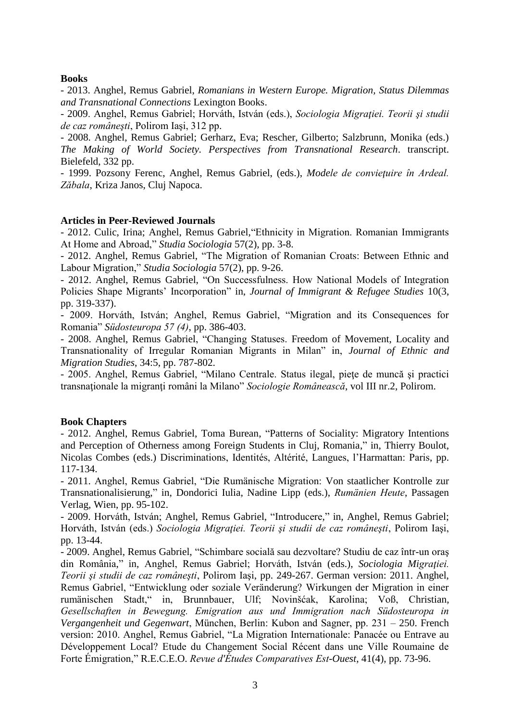# **Books**

- 2013. Anghel, Remus Gabriel, *Romanians in Western Europe. Migration, Status Dilemmas and Transnational Connections* Lexington Books.

- 2009. Anghel, Remus Gabriel; Horváth, István (eds.), *Sociologia Migraţiei. Teorii şi studii de caz româneşti*, Polirom Iaşi, 312 pp.

- 2008. Anghel, Remus Gabriel; Gerharz, Eva; Rescher, Gilberto; Salzbrunn, Monika (eds.) *The Making of World Society. Perspectives from Transnational Research*. transcript. Bielefeld, 332 pp.

- 1999. Pozsony Ferenc, Anghel, Remus Gabriel, (eds.), *Modele de convieţuire în Ardeal. Zăbala*, Kriza Janos, Cluj Napoca.

## **Articles in Peer-Reviewed Journals**

- 2012. Culic, Irina; Anghel, Remus Gabriel,"Ethnicity in Migration. Romanian Immigrants At Home and Abroad," *Studia Sociologia* 57(2), pp. 3-8.

- 2012. Anghel, Remus Gabriel, "The Migration of Romanian Croats: Between Ethnic and Labour Migration," *Studia Sociologia* 57(2), pp. 9-26.

- 2012. Anghel, Remus Gabriel, "On Successfulness. How National Models of Integration Policies Shape Migrants' Incorporation" in, *Journal of Immigrant & Refugee Studies* 10(3, pp. 319-337).

- 2009. Horváth, István; Anghel, Remus Gabriel, "Migration and its Consequences for Romania" *Südosteuropa 57 (4)*, pp. 386-403.

- 2008. Anghel, Remus Gabriel, "Changing Statuses. Freedom of Movement, Locality and Transnationality of Irregular Romanian Migrants in Milan" in, *Journal of Ethnic and Migration Studies*, 34:5, pp. 787-802.

- 2005. Anghel, Remus Gabriel, "Milano Centrale. Status ilegal, pieţe de muncă şi practici transnaţionale la migranţi români la Milano" *Sociologie Românească*, vol III nr.2, Polirom.

## **Book Chapters**

- 2012. Anghel, Remus Gabriel, Toma Burean, "Patterns of Sociality: Migratory Intentions and Perception of Otherness among Foreign Students in Cluj, Romania," in, Thierry Boulot, Nicolas Combes (eds.) Discriminations, Identités, Altérité, Langues, l'Harmattan: Paris, pp. 117-134.

- 2011. Anghel, Remus Gabriel, "Die Rumänische Migration: Von staatlicher Kontrolle zur Transnationalisierung," in, Dondorici Iulia, Nadine Lipp (eds.), *Rumänien Heute*, Passagen Verlag, Wien, pp. 95-102.

- 2009. Horváth, István; Anghel, Remus Gabriel, "Introducere," in, Anghel, Remus Gabriel; Horváth, István (eds.) *Sociologia Migraţiei. Teorii şi studii de caz româneşti*, Polirom Iaşi, pp. 13-44.

- 2009. Anghel, Remus Gabriel, "Schimbare socială sau dezvoltare? Studiu de caz într-un oraş din România," in, Anghel, Remus Gabriel; Horváth, István (eds.), *Sociologia Migraţiei. Teorii şi studii de caz româneşti*, Polirom Iaşi, pp. 249-267. German version: 2011. Anghel, Remus Gabriel, "Entwicklung oder soziale Veränderung? Wirkungen der Migration in einer rumänischen Stadt," in, Brunnbauer, Ulf; Novinšćak, Karolina; Voß, Christian, *Gesellschaften in Bewegung. Emigration aus und Immigration nach Südosteuropa in Vergangenheit und Gegenwart*, München, Berlin: Kubon and Sagner, pp. 231 – 250. French version: 2010. Anghel, Remus Gabriel, "La Migration Internationale: Panacée ou Entrave au Développement Local? Etude du Changement Social Récent dans une Ville Roumaine de Forte Émigration," R.E.C.E.O. *Revue d'Études Comparatives Est*-*Ouest*, 41(4), pp. 73-96.